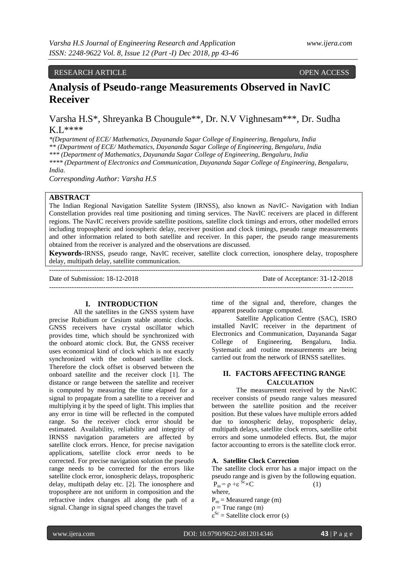# RESEARCH ARTICLE **CONTRACT ARTICLE** AND CONTRACT OPEN ACCESS OPEN ACCESS **OPEN ACCESS**

# **Analysis of Pseudo-range Measurements Observed in NavIC Receiver**

Varsha H.S\*, Shreyanka B Chougule\*\*, Dr. N.V Vighnesam\*\*\*, Dr. Sudha K.L\*\*\*\*

*\*(Department of ECE/ Mathematics, Dayananda Sagar College of Engineering, Bengaluru, India*

*\*\* (Department of ECE/ Mathematics, Dayananda Sagar College of Engineering, Bengaluru, India*

*\*\*\* (Department of Mathematics, Dayananda Sagar College of Engineering, Bengaluru, India*

*\*\*\*\* (Department of Electronics and Communication, Dayananda Sagar College of Engineering, Bengaluru,* 

*India.* 

*Corresponding Author: Varsha H.S*

# **ABSTRACT**

The Indian Regional Navigation Satellite System (IRNSS), also known as NavIC- Navigation with Indian Constellation provides real time positioning and timing services. The NavIC receivers are placed in different regions. The NavIC receivers provide satellite positions, satellite clock timings and errors, other modelled errors including tropospheric and ionospheric delay, receiver position and clock timings, pseudo range measurements and other information related to both satellite and receiver. In this paper, the pseudo range measurements obtained from the receiver is analyzed and the observations are discussed.

**Keywords-**IRNSS, pseudo range, NavIC receiver, satellite clock correction, ionosphere delay, troposphere delay, multipath delay, satellite communication. --------------------------------------------------------------------------------------------------------------------------------------

Date of Submission: 18-12-2018 Date of Acceptance: 31-12-2018

--------------------------------------------------------------------------------------------------------------------------------------

# **I. INTRODUCTION**

All the satellites in the GNSS system have precise Rubidium or Cesium stable atomic clocks. GNSS receivers have crystal oscillator which provides time, which should be synchronized with the onboard atomic clock. But, the GNSS receiver uses economical kind of clock which is not exactly synchronized with the onboard satellite clock. Therefore the clock offset is observed between the onboard satellite and the receiver clock [1]. The distance or range between the satellite and receiver is computed by measuring the time elapsed for a signal to propagate from a satellite to a receiver and multiplying it by the speed of light. This implies that any error in time will be reflected in the computed range. So the receiver clock error should be estimated. Availability, reliability and integrity of IRNSS navigation parameters are affected by satellite clock errors. Hence, for precise navigation applications, satellite clock error needs to be corrected. For precise navigation solution the pseudo range needs to be corrected for the errors like satellite clock error, ionospheric delays, tropospheric delay, multipath delay etc. [2]. The ionosphere and troposphere are not uniform in composition and the refractive index changes all along the path of a signal. Change in signal speed changes the travel

time of the signal and, therefore, changes the apparent pseudo range computed.

Satellite Application Centre (SAC), ISRO installed NavIC receiver in the department of Electronics and Communication, Dayananda Sagar College of Engineering, Bengaluru, India. Systematic and routine measurements are being carried out from the network of IRNSS satellites.

# **II. FACTORS AFFECTING RANGE CALCULATION**

The measurement received by the NavIC receiver consists of pseudo range values measured between the satellite position and the receiver position. But these values have multiple errors added due to ionospheric delay, tropospheric delay, multipath delays, satellite clock errors, satellite orbit errors and some unmodeled effects. But, the major factor accounting to errors is the satellite clock error.

# **A. Satellite Clock Correction**

The satellite clock error has a major impact on the pseudo range and is given by the following equation.  $P_m = \rho + \varepsilon^{Sc} \times C$  (1)

where,

 $P_m$  = Measured range (m)

 $p = True$  range (m)

 $\varepsilon^{Sc}$  = Satellite clock error (s)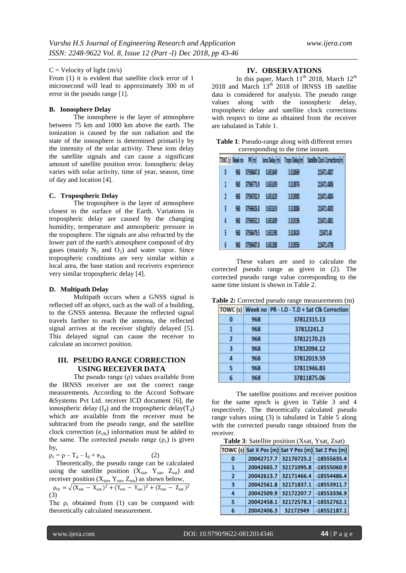## $C =$  Velocity of light (m/s)

From (1) it is evident that satellite clock error of 1 microsecond will lead to approximately 300 m of error in the pseudo range [1].

## **B. Ionosphere Delay**

The ionosphere is the layer of atmosphere between 75 km and 1000 km above the earth. The ionization is caused by the sun radiation and the state of the ionosphere is determined primari1y by the intensity of the solar activity. These ions delay the satellite signals and can cause a significant amount of satellite position error. Ionospheric delay varies with solar activity, time of year, season, time of day and location [4].

#### **C. Tropospheric Delay**

The troposphere is the layer of atmosphere closest to the surface of the Earth. Variations in tropospheric delay are caused by the changing humidity, temperature and atmospheric pressure in the troposphere. The signals are also refracted by the lower part of the earth's atmosphere composed of dry gases (mainly  $N_2$  and  $O_2$ ) and water vapor. Since tropospheric conditions are very similar within a local area, the base station and receivers experience very similar tropospheric delay [4].

#### **D. Multipath Delay**

Multipath occurs when a GNSS signal is reflected off an object, such as the wall of a building, to the GNSS antenna. Because the reflected signal travels farther to reach the antenna, the reflected signal arrives at the receiver slightly delayed [5]. This delayed signal can cause the receiver to calculate an incorrect position.

# **III. PSEUDO RANGE CORRECTION USING RECEIVER DATA**

The pseudo range  $(\rho)$  values available from the IRNSS receiver are not the correct range measurements. According to the Accord Software &Systems Pvt Ltd. receiver ICD document [6], the ionospheric delay  $(I_d)$  and the tropospheric delay( $T_d$ ) which are available from the receiver must be subtracted from the pseudo range, and the satellite clock correction  $(e_{\text{clk}})$  information must be added to the same. The corrected pseudo range  $(\rho_c)$  is given by,

 $\rho_c = \rho - T_d - I_d + e_{clk}$  (2)

Theoretically, the pseudo range can be calculated using the satellite position  $(X_{sat}, Y_{sat}, Z_{sat})$  and receiver position  $(X_{\text{stn}}, Y_{\text{stn}}, Z_{\text{stn}})$  as shown below,

$$
\rho_{\rm th} = \sqrt{(X_{\rm stn} - X_{\rm sat})^2 + (Y_{\rm stn} - Y_{\rm sat})^2 + (Z_{\rm stn} - Z_{\rm sat})^2}
$$
\n(3)

The  $\rho_c$  obtained from (1) can be compared with theoretically calculated measurement.

# **IV. OBSERVATIONS**

In this paper, March  $11<sup>th</sup>$  2018, March  $12<sup>th</sup>$ 2018 and March  $13<sup>th</sup>$  2018 of IRNSS 1B satellite data is considered for analysis. The pseudo range values along with the ionospheric delay, tropospheric delay and satellite clock corrections with respect to time as obtained from the receiver are tabulated in Table 1.

| <b>Table 1:</b> Pseudo-range along with different errors |
|----------------------------------------------------------|
| corresponding to the time instant.                       |

|   | TOWC <sup>'</sup> s Week no | PR (m)          | Iono Delay (m) | Tropo Delayim | Satalite Clock Corrections im |
|---|-----------------------------|-----------------|----------------|---------------|-------------------------------|
| O | 93                          | 3736847.8       | 0.61649        | 3,50669       | 215471.4807                   |
| 1 | 93                          | 37,66773.9      | 0.651639       | 3,500 %       | 准机燃                           |
| 2 | 42                          | 3756702.9       | 0.61629        | 3,519065      | 215471.4804                   |
| ĵ | 93                          | <b>STAGEN E</b> | 0.651619       | 3,518086      | 215471.4003                   |
| 4 | 93                          | 37566552.3      | 0.651607       | 3,5191%       | 215471.4801                   |
| 5 | 93                          | 3756479.5       | 10078          | 3,519424      | 215471.48                     |
| f | œ                           | 3756407.B       | <b>ALLES</b>   | 3.519056      | 215471.4738                   |

These values are used to calculate the corrected pseudo range as given in (2). The corrected pseudo range value corresponding to the same time instant is shown in Table 2.

| Table 2: Corrected pseudo range measurements (m) |  |
|--------------------------------------------------|--|
|--------------------------------------------------|--|

|                |     | TOWC (s) Week no PR - I.D - T.D + Sat Clk Correction |  |
|----------------|-----|------------------------------------------------------|--|
| 0              | 968 | 37812315.13                                          |  |
| 1              | 968 | 37812241.2                                           |  |
| $\mathbf{2}$   | 968 | 37812170.23                                          |  |
| $\overline{3}$ | 968 | 37812094.12                                          |  |
| 4              | 968 | 37812019.59                                          |  |
| $\overline{5}$ | 968 | 37811946.83                                          |  |
| 6              | 968 | 37811875.06                                          |  |

The satellite positions and receiver position for the same epoch is given in Table 3 and 4 respectively. The theoretically calculated pseudo range values using (3) is tabulated in Table 5 along with the corrected pseudo range obtained from the receiver.

**Table 3**: Satellite position (Xsat, Ysat, Zsat)

|                | TOWC (s) Sat X Pos (m) Sat Y Pos (m) Sat Z Pos (m) |                                   |               |
|----------------|----------------------------------------------------|-----------------------------------|---------------|
| $\bf{0}$       |                                                    | 20042717.7 32170725.2 -18555635.4 |               |
| 51             | 20042665.7                                         | 32171095.8                        | $-18555060.9$ |
| $\overline{2}$ | 20042613.7                                         | 32171466.4                        | $-18554486.4$ |
| 3              | 20042561.8                                         | 32171837.1                        | $-18553911.7$ |
| 4              | 20042509.9                                         | 32172207.7                        | $-18553336.9$ |
| 5              | 20042458.1                                         | 32172578.3                        | $-18552762.1$ |
| 6              | 20042406.3                                         | 32172949                          | $-18552187.1$ |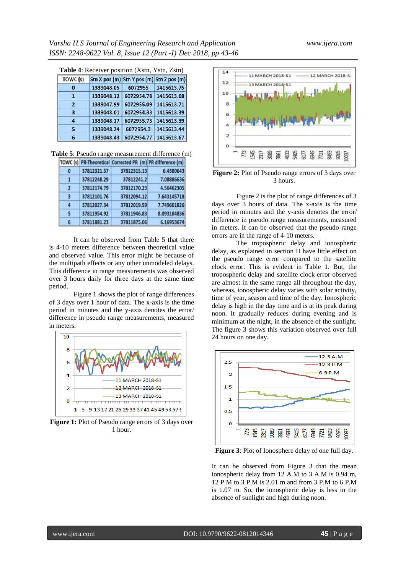| <b>Table 4:</b> Receiver position (Xstn, Ystn, Zstn) |  |  |
|------------------------------------------------------|--|--|
|                                                      |  |  |

| TOWC (s) |            | Stn X pos (m) Stn Y pos (m) Stn Z pos (m) |                       |
|----------|------------|-------------------------------------------|-----------------------|
| 0        | 1339048.05 | 6072955                                   | 1415613.75            |
|          | 1339048.12 | 6072954.78                                | 1415613.68            |
| 2        | 1339047.99 | 6072955.09                                | 1415613.71            |
| з        | 1339048.01 |                                           | 6072954.33 1415613.39 |
| Δ        | 1339048.17 | 6072955.73                                | 1415613.39            |
| 5        | 1339048.24 | 6072954.3                                 | 1415613.44            |
| 6        | 1339048.43 | 6072954.77                                | 1415613.67            |

**Table 5**: Pseudo range measurement difference (m)

|                      |             | TOWC (s) PR-Theoretical Corrected PR (m) PR difference (m) |             |
|----------------------|-------------|------------------------------------------------------------|-------------|
| -0                   | 37812321.57 | 37812315.13                                                | 6.4380643   |
| п                    | 37812248.29 | 37812241.2                                                 | 7.08886636  |
| 2                    | 37812174.79 | 37812170.23                                                | 4.56462305  |
| $\cdot$ <sub>3</sub> | 37812101.76 | 37812094.12                                                | 7.643145718 |
| Δ                    | 37812027.34 | 37812019.59                                                | 7.749601826 |
| 5                    | 37811954.92 | 37811946.83                                                | 8.093184836 |
| 6                    | 37811881.23 | 37811875.06                                                | 6.16953674  |

It can be observed from Table 5 that there is 4-10 meters difference between theoretical value and observed value. This error might be because of the multipath effects or any other unmodeled delays. This difference in range measurements was observed over 3 hours daily for three days at the same time period.

Figure 1 shows the plot of range differences of 3 days over 1 hour of data. The x-axis is the time period in minutes and the y-axis denotes the error/ difference in pseudo range measurements, measured in meters.



**Figure 1:** Plot of Pseudo range errors of 3 days over 1 hour.



**Figure 2:** Plot of Pseudo range errors of 3 days over 3 hours.

Figure 2 is the plot of range differences of 3 days over 3 hours of data. The x-axis is the time period in minutes and the y-axis denotes the error/ difference in pseudo range measurements, measured in meters. It can be observed that the pseudo range errors are in the range of 4-10 meters.

The tropospheric delay and ionospheric delay, as explained in section II have little effect on the pseudo range error compared to the satellite clock error. This is evident in Table 1. But, the tropospheric delay and satellite clock error observed are almost in the same range all throughout the day, whereas, ionospheric delay varies with solar activity, time of year, season and time of the day. Ionospheric delay is high in the day time and is at its peak during noon. It gradually reduces during evening and is minimum at the night, in the absence of the sunlight. The figure 3 shows this variation observed over full 24 hours on one day.



**Figure 3**: Plot of Ionosphere delay of one full day.

It can be observed from Figure 3 that the mean ionospheric delay from 12 A.M to 3 A.M is 0.94 m, 12 P.M to 3 P.M is 2.01 m and from 3 P.M to 6 P.M is 1.07 m. So, the ionospheric delay is less in the absence of sunlight and high during noon.